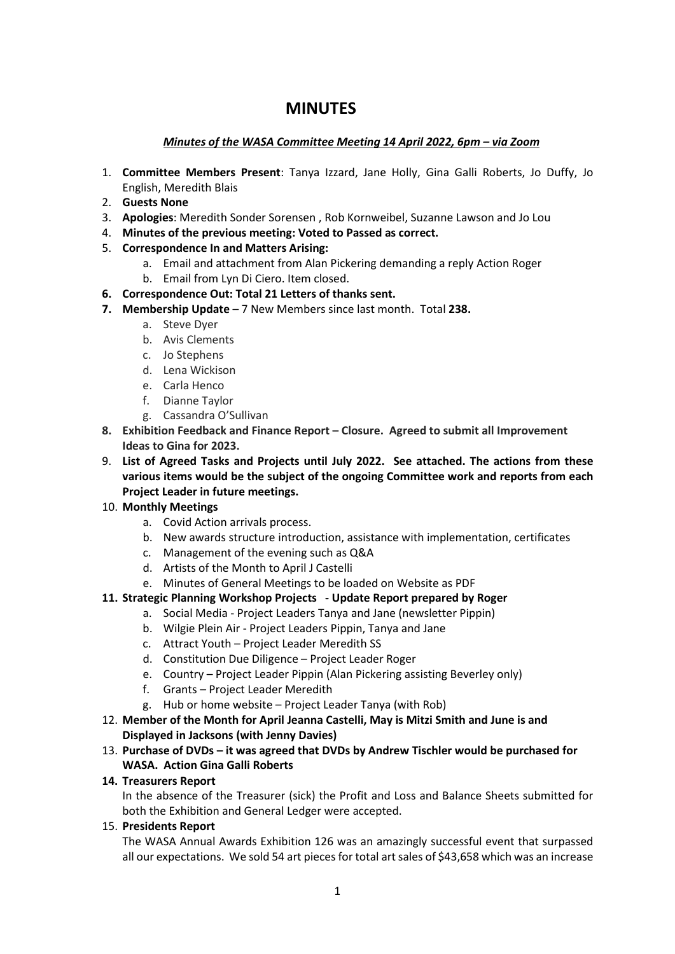# **MINUTES**

# *Minutes of the WASA Committee Meeting 14 April 2022, 6pm – via Zoom*

- 1. **Committee Members Present**: Tanya Izzard, Jane Holly, Gina Galli Roberts, Jo Duffy, Jo English, Meredith Blais
- 2. **Guests None**
- 3. **Apologies**: Meredith Sonder Sorensen , Rob Kornweibel, Suzanne Lawson and Jo Lou
- 4. **Minutes of the previous meeting: Voted to Passed as correct.**
- 5. **Correspondence In and Matters Arising:** 
	- a. Email and attachment from Alan Pickering demanding a reply Action Roger
	- b. Email from Lyn Di Ciero. Item closed.
- **6. Correspondence Out: Total 21 Letters of thanks sent.**
- **7. Membership Update** 7 New Members since last month. Total **238.** 
	- a. Steve Dyer
	- b. Avis Clements
	- c. Jo Stephens
	- d. Lena Wickison
	- e. Carla Henco
	- f. Dianne Taylor
	- g. Cassandra O'Sullivan
- **8. Exhibition Feedback and Finance Report – Closure. Agreed to submit all Improvement Ideas to Gina for 2023.**
- 9. **List of Agreed Tasks and Projects until July 2022. See attached. The actions from these various items would be the subject of the ongoing Committee work and reports from each Project Leader in future meetings.**
- 10. **Monthly Meetings** 
	- a. Covid Action arrivals process.
	- b. New awards structure introduction, assistance with implementation, certificates
	- c. Management of the evening such as Q&A
	- d. Artists of the Month to April J Castelli
	- e. Minutes of General Meetings to be loaded on Website as PDF
- **11. Strategic Planning Workshop Projects - Update Report prepared by Roger**
	- a. Social Media Project Leaders Tanya and Jane (newsletter Pippin)
	- b. Wilgie Plein Air Project Leaders Pippin, Tanya and Jane
	- c. Attract Youth Project Leader Meredith SS
	- d. Constitution Due Diligence Project Leader Roger
	- e. Country Project Leader Pippin (Alan Pickering assisting Beverley only)
	- f. Grants Project Leader Meredith
	- g. Hub or home website Project Leader Tanya (with Rob)
- 12. **Member of the Month for April Jeanna Castelli, May is Mitzi Smith and June is and Displayed in Jacksons (with Jenny Davies)**
- 13. **Purchase of DVDs – it was agreed that DVDs by Andrew Tischler would be purchased for WASA. Action Gina Galli Roberts**

## **14. Treasurers Report**

In the absence of the Treasurer (sick) the Profit and Loss and Balance Sheets submitted for both the Exhibition and General Ledger were accepted.

15. **Presidents Report**

The WASA Annual Awards Exhibition 126 was an amazingly successful event that surpassed all our expectations. We sold 54 art pieces for total art sales of \$43,658 which was an increase